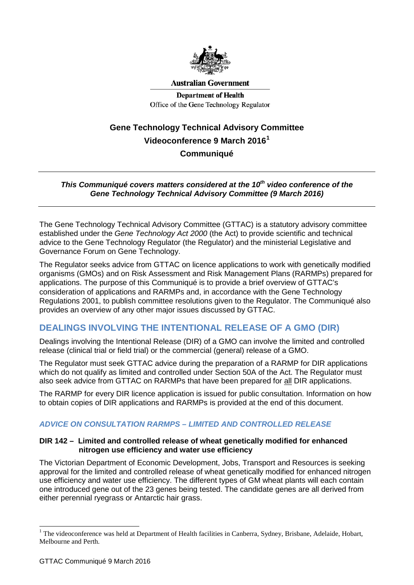

**Australian Government** 

**Department of Health** Office of the Gene Technology Regulator

# **Gene Technology Technical Advisory Committee Videoconference 9 March 2016[1](#page-0-0) Communiqué**

#### *This Communiqué covers matters considered at the 10<sup>th</sup> video conference of the Gene Technology Technical Advisory Committee (9 March 2016)*

The Gene Technology Technical Advisory Committee (GTTAC) is a statutory advisory committee established under the *Gene Technology Act 2000* (the Act) to provide scientific and technical advice to the Gene Technology Regulator (the Regulator) and the ministerial Legislative and Governance Forum on Gene Technology.

The Regulator seeks advice from GTTAC on licence applications to work with genetically modified organisms (GMOs) and on Risk Assessment and Risk Management Plans (RARMPs) prepared for applications. The purpose of this Communiqué is to provide a brief overview of GTTAC's consideration of applications and RARMPs and, in accordance with the Gene Technology Regulations 2001, to publish committee resolutions given to the Regulator. The Communiqué also provides an overview of any other major issues discussed by GTTAC.

# **DEALINGS INVOLVING THE INTENTIONAL RELEASE OF A GMO (DIR)**

Dealings involving the Intentional Release (DIR) of a GMO can involve the limited and controlled release (clinical trial or field trial) or the commercial (general) release of a GMO.

The Regulator must seek GTTAC advice during the preparation of a RARMP for DIR applications which do not qualify as limited and controlled under Section 50A of the Act. The Regulator must also seek advice from GTTAC on RARMPs that have been prepared for all DIR applications.

The RARMP for every DIR licence application is issued for public consultation. Information on how to obtain copies of DIR applications and RARMPs is provided at the end of this document.

## *ADVICE ON CONSULTATION RARMPS – LIMITED AND CONTROLLED RELEASE*

#### **DIR 142 – Limited and controlled release of wheat genetically modified for enhanced nitrogen use efficiency and water use efficiency**

The Victorian Department of Economic Development, Jobs, Transport and Resources is seeking approval for the limited and controlled release of wheat genetically modified for enhanced nitrogen use efficiency and water use efficiency. The different types of GM wheat plants will each contain one introduced gene out of the 23 genes being tested. The candidate genes are all derived from either perennial ryegrass or Antarctic hair grass.

-

<span id="page-0-0"></span> $1$  The videoconference was held at Department of Health facilities in Canberra, Sydney, Brisbane, Adelaide, Hobart, Melbourne and Perth.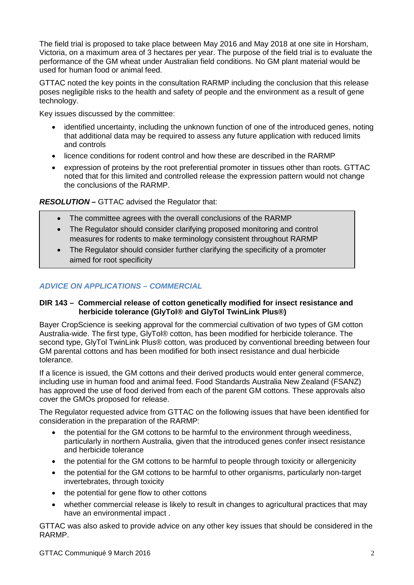The field trial is proposed to take place between May 2016 and May 2018 at one site in Horsham, Victoria, on a maximum area of 3 hectares per year. The purpose of the field trial is to evaluate the performance of the GM wheat under Australian field conditions. No GM plant material would be used for human food or animal feed.

GTTAC noted the key points in the consultation RARMP including the conclusion that this release poses negligible risks to the health and safety of people and the environment as a result of gene technology.

Key issues discussed by the committee:

- identified uncertainty, including the unknown function of one of the introduced genes, noting that additional data may be required to assess any future application with reduced limits and controls
- licence conditions for rodent control and how these are described in the RARMP
- expression of proteins by the root preferential promoter in tissues other than roots. GTTAC noted that for this limited and controlled release the expression pattern would not change the conclusions of the RARMP.

#### *RESOLUTION* **–** GTTAC advised the Regulator that:

- The committee agrees with the overall conclusions of the RARMP
- The Regulator should consider clarifying proposed monitoring and control measures for rodents to make terminology consistent throughout RARMP
- The Regulator should consider further clarifying the specificity of a promoter aimed for root specificity

## *ADVICE ON APPLICATIONS – COMMERCIAL*

#### **DIR 143 – Commercial release of cotton genetically modified for insect resistance and herbicide tolerance (GlyTol® and GlyTol TwinLink Plus®)**

Bayer CropScience is seeking approval for the commercial cultivation of two types of GM cotton Australia-wide. The first type, GlyTol® cotton, has been modified for herbicide tolerance. The second type, GlyTol TwinLink Plus® cotton, was produced by conventional breeding between four GM parental cottons and has been modified for both insect resistance and dual herbicide tolerance.

If a licence is issued, the GM cottons and their derived products would enter general commerce, including use in human food and animal feed. Food Standards Australia New Zealand (FSANZ) has approved the use of food derived from each of the parent GM cottons. These approvals also cover the GMOs proposed for release.

The Regulator requested advice from GTTAC on the following issues that have been identified for consideration in the preparation of the RARMP:

- the potential for the GM cottons to be harmful to the environment through weediness, particularly in northern Australia, given that the introduced genes confer insect resistance and herbicide tolerance
- the potential for the GM cottons to be harmful to people through toxicity or allergenicity
- the potential for the GM cottons to be harmful to other organisms, particularly non-target invertebrates, through toxicity
- the potential for gene flow to other cottons
- whether commercial release is likely to result in changes to agricultural practices that may have an environmental impact .

GTTAC was also asked to provide advice on any other key issues that should be considered in the RARMP.